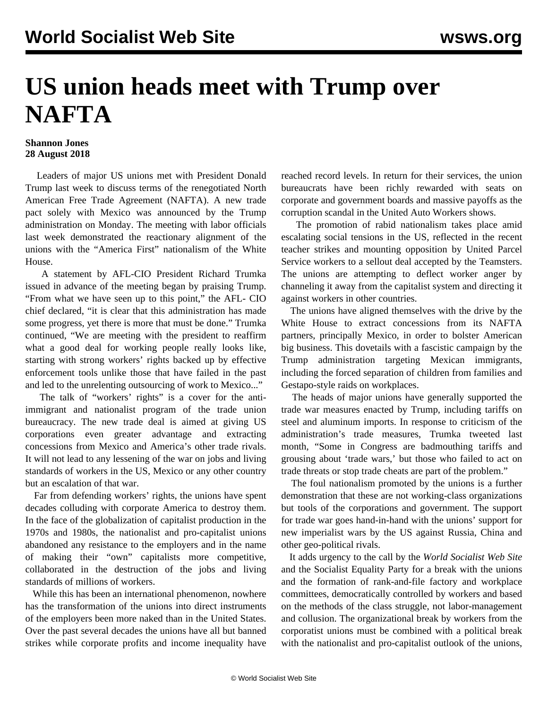## **US union heads meet with Trump over NAFTA**

## **Shannon Jones 28 August 2018**

 Leaders of major US unions met with President Donald Trump last week to discuss terms of the renegotiated North American Free Trade Agreement (NAFTA). A new trade pact solely with Mexico was announced by the Trump administration on Monday. The meeting with labor officials last week demonstrated the reactionary alignment of the unions with the "America First" nationalism of the White House.

 A statement by AFL-CIO President Richard Trumka issued in advance of the meeting began by praising Trump. "From what we have seen up to this point," the AFL- CIO chief declared, "it is clear that this administration has made some progress, yet there is more that must be done." Trumka continued, "We are meeting with the president to reaffirm what a good deal for working people really looks like, starting with strong workers' rights backed up by effective enforcement tools unlike those that have failed in the past and led to the unrelenting outsourcing of work to Mexico..."

The talk of "workers' rights" is a cover for the antiimmigrant and nationalist program of the trade union bureaucracy. The new trade deal is aimed at giving US corporations even greater advantage and extracting concessions from Mexico and America's other trade rivals. It will not lead to any lessening of the war on jobs and living standards of workers in the US, Mexico or any other country but an escalation of that war.

 Far from defending workers' rights, the unions have spent decades colluding with corporate America to destroy them. In the face of the globalization of capitalist production in the 1970s and 1980s, the nationalist and pro-capitalist unions abandoned any resistance to the employers and in the name of making their "own" capitalists more competitive, collaborated in the destruction of the jobs and living standards of millions of workers.

 While this has been an international phenomenon, nowhere has the transformation of the unions into direct instruments of the employers been more naked than in the United States. Over the past several decades the unions have all but banned strikes while corporate profits and income inequality have reached record levels. In return for their services, the union bureaucrats have been richly rewarded with seats on corporate and government boards and massive payoffs as the corruption scandal in the United Auto Workers shows.

 The promotion of rabid nationalism takes place amid escalating social tensions in the US, reflected in the recent teacher strikes and mounting opposition by United Parcel Service workers to a sellout deal accepted by the Teamsters. The unions are attempting to deflect worker anger by channeling it away from the capitalist system and directing it against workers in other countries.

 The unions have aligned themselves with the drive by the White House to extract concessions from its NAFTA partners, principally Mexico, in order to bolster American big business. This dovetails with a fascistic campaign by the Trump administration targeting Mexican immigrants, including the forced separation of children from families and Gestapo-style raids on workplaces.

 The heads of major unions have generally supported the trade war measures enacted by Trump, including tariffs on steel and aluminum imports. In response to criticism of the administration's trade measures, Trumka tweeted last month, "Some in Congress are badmouthing tariffs and grousing about 'trade wars,' but those who failed to act on trade threats or stop trade cheats are part of the problem."

 The foul nationalism promoted by the unions is a further demonstration that these are not working-class organizations but tools of the corporations and government. The support for trade war goes hand-in-hand with the unions' support for new imperialist wars by the US against Russia, China and other geo-political rivals.

 It adds urgency to the call by the *World Socialist Web Site* and the Socialist Equality Party for a break with the unions and the formation of rank-and-file factory and workplace committees, democratically controlled by workers and based on the methods of the class struggle, not labor-management and collusion. The organizational break by workers from the corporatist unions must be combined with a political break with the nationalist and pro-capitalist outlook of the unions,